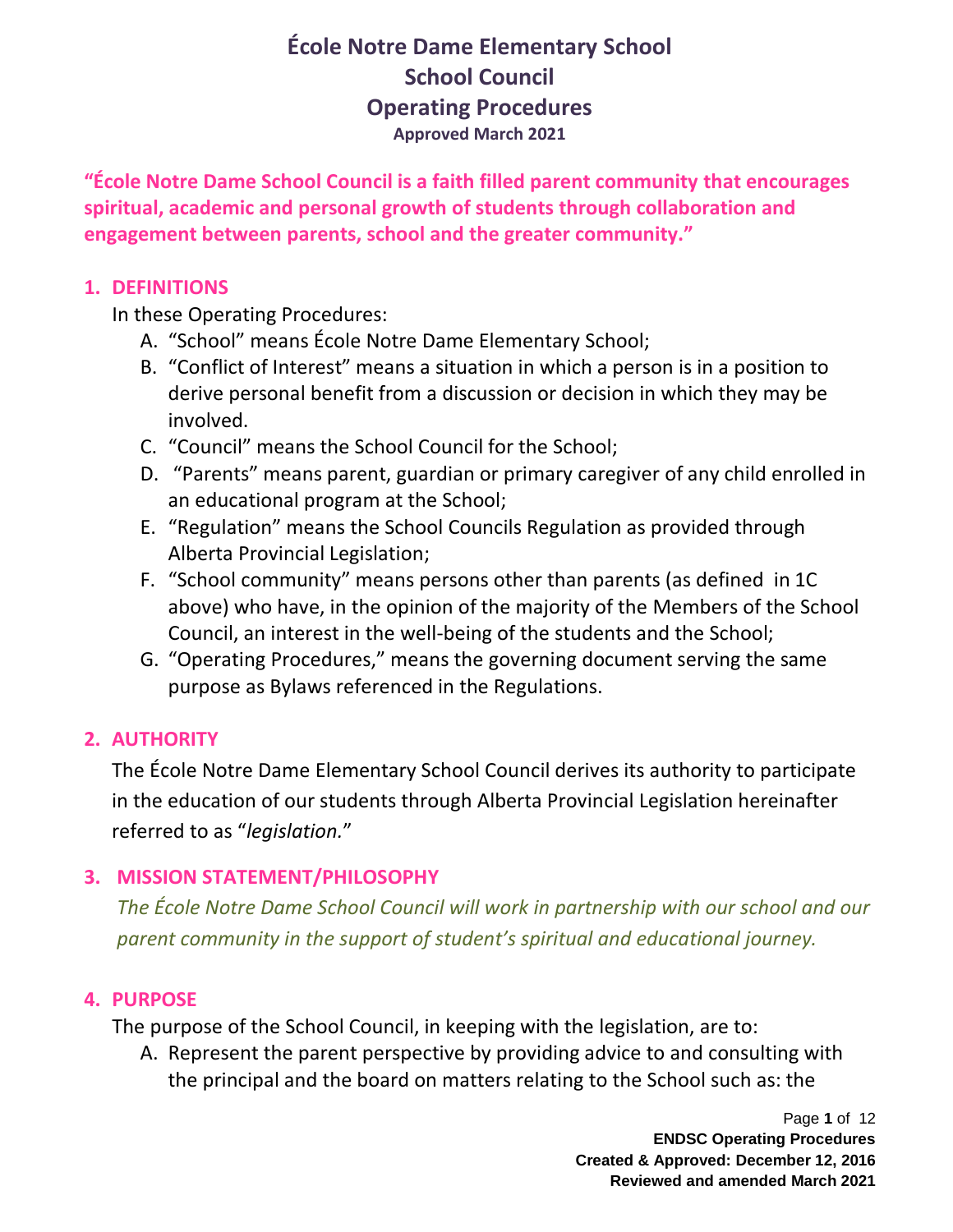**"École Notre Dame School Council is a faith filled parent community that encourages spiritual, academic and personal growth of students through collaboration and engagement between parents, school and the greater community."**

#### **1. DEFINITIONS**

In these Operating Procedures:

- A. "School" means École Notre Dame Elementary School;
- B. "Conflict of Interest" means a situation in which a person is in a position to derive personal benefit from a discussion or decision in which they may be involved.
- C. "Council" means the School Council for the School;
- D. "Parents" means parent, guardian or primary caregiver of any child enrolled in an educational program at the School;
- E. "Regulation" means the School Councils Regulation as provided through Alberta Provincial Legislation;
- F. "School community" means persons other than parents (as defined in 1C above) who have, in the opinion of the majority of the Members of the School Council, an interest in the well-being of the students and the School;
- G. "Operating Procedures," means the governing document serving the same purpose as Bylaws referenced in the Regulations.

### **2. AUTHORITY**

The École Notre Dame Elementary School Council derives its authority to participate in the education of our students through Alberta Provincial Legislation hereinafter referred to as "*legislation.*"

### **3. MISSION STATEMENT/PHILOSOPHY**

*The École Notre Dame School Council will work in partnership with our school and our parent community in the support of student's spiritual and educational journey.* 

#### **4. PURPOSE**

The purpose of the School Council, in keeping with the legislation, are to:

A. Represent the parent perspective by providing advice to and consulting with the principal and the board on matters relating to the School such as: the

> Page **1** of 12 **ENDSC Operating Procedures Created & Approved: December 12, 2016 Reviewed and amended March 2021**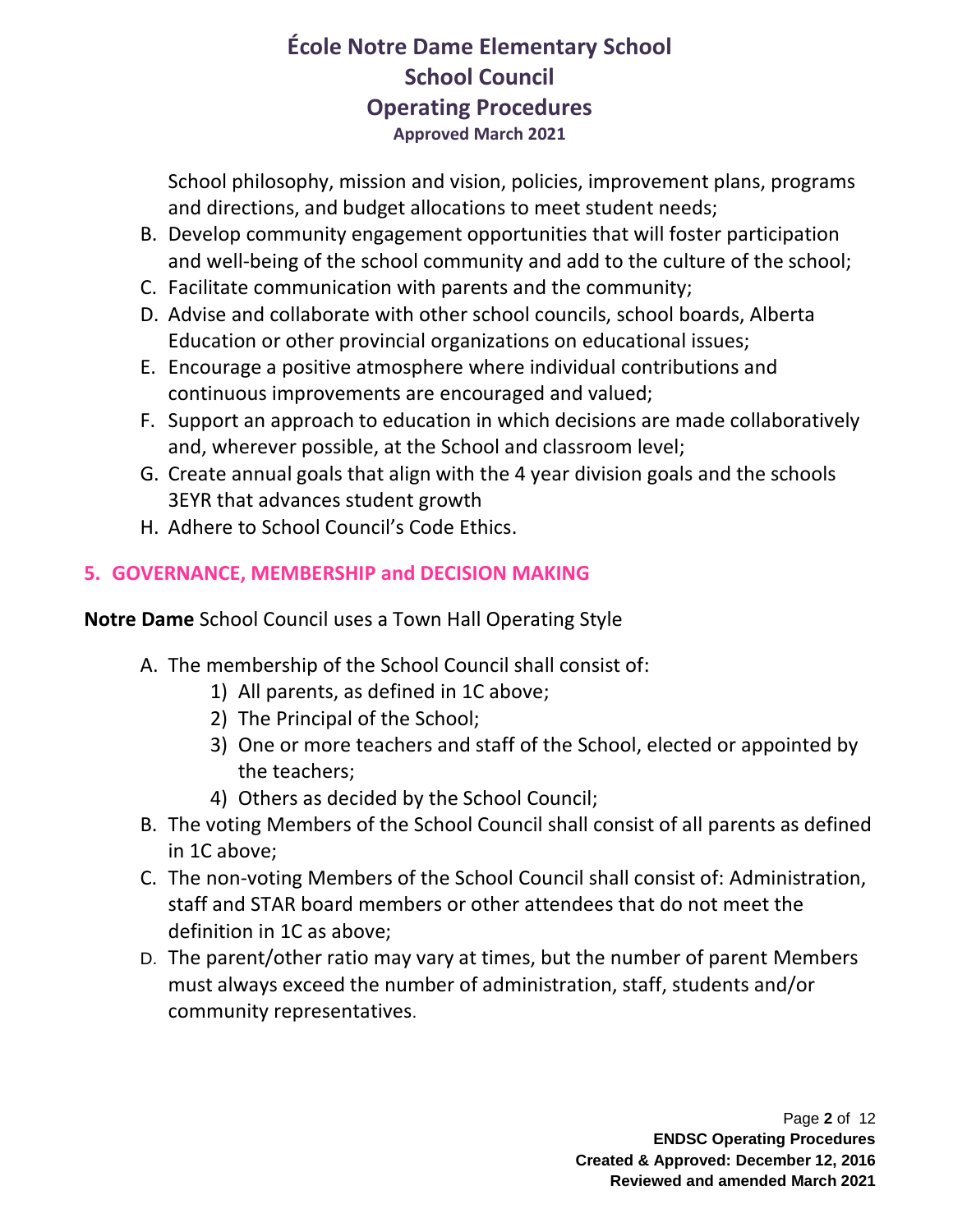School philosophy, mission and vision, policies, improvement plans, programs and directions, and budget allocations to meet student needs;

- B. Develop community engagement opportunities that will foster participation and well-being of the school community and add to the culture of the school;
- C. Facilitate communication with parents and the community;
- D. Advise and collaborate with other school councils, school boards, Alberta Education or other provincial organizations on educational issues;
- E. Encourage a positive atmosphere where individual contributions and continuous improvements are encouraged and valued;
- F. Support an approach to education in which decisions are made collaboratively and, wherever possible, at the School and classroom level;
- G. Create annual goals that align with the 4 year division goals and the schools 3EYR that advances student growth
- H. Adhere to School Council's Code Ethics.

## **5. GOVERNANCE, MEMBERSHIP and DECISION MAKING**

**Notre Dame** School Council uses a Town Hall Operating Style

- A. The membership of the School Council shall consist of:
	- 1) All parents, as defined in 1C above;
	- 2) The Principal of the School;
	- 3) One or more teachers and staff of the School, elected or appointed by the teachers;
	- 4) Others as decided by the School Council;
- B. The voting Members of the School Council shall consist of all parents as defined in 1C above;
- C. The non-voting Members of the School Council shall consist of: Administration, staff and STAR board members or other attendees that do not meet the definition in 1C as above;
- D. The parent/other ratio may vary at times, but the number of parent Members must always exceed the number of administration, staff, students and/or community representatives.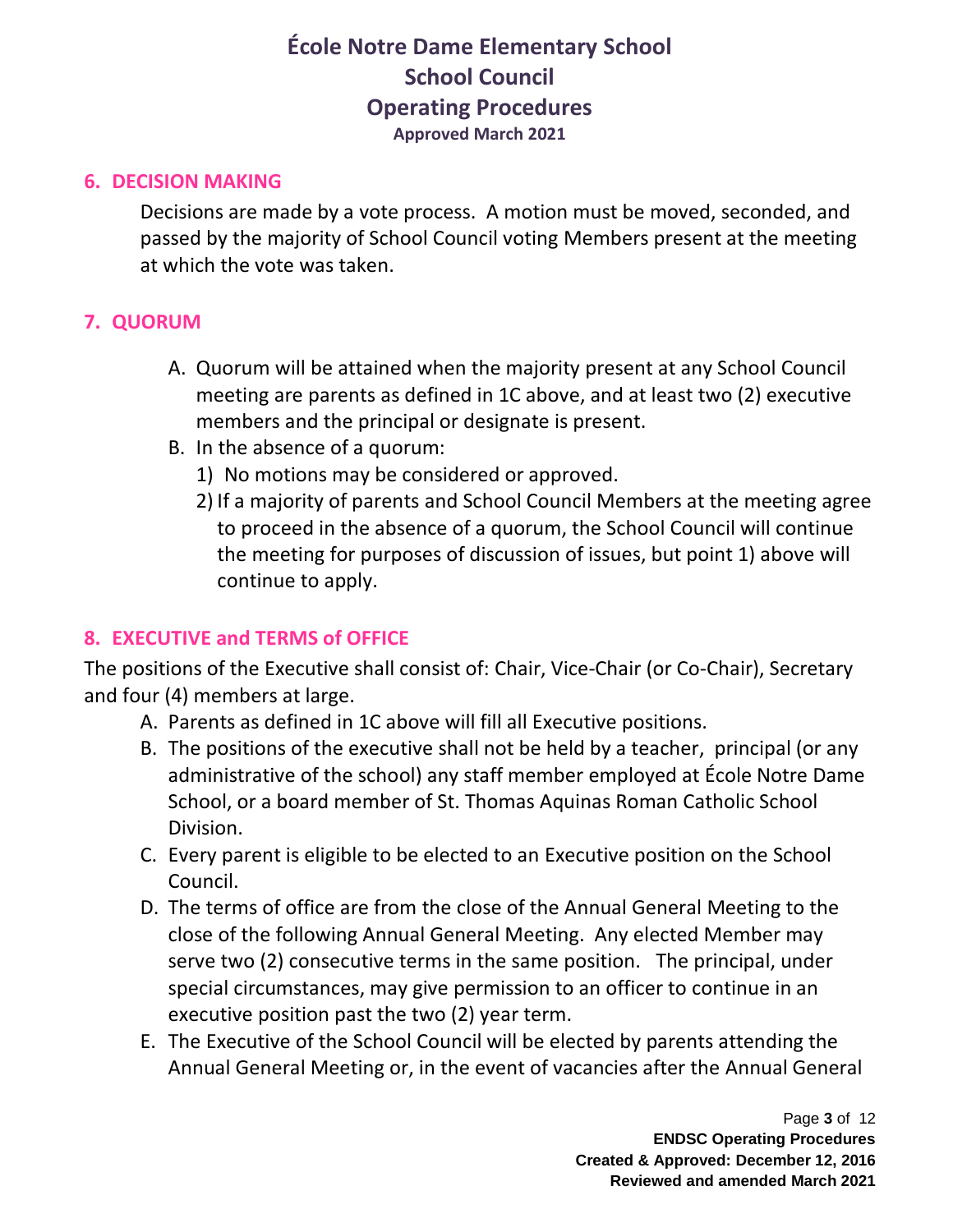#### **6. DECISION MAKING**

Decisions are made by a vote process. A motion must be moved, seconded, and passed by the majority of School Council voting Members present at the meeting at which the vote was taken.

### **7. QUORUM**

- A. Quorum will be attained when the majority present at any School Council meeting are parents as defined in 1C above, and at least two (2) executive members and the principal or designate is present.
- B. In the absence of a quorum:
	- 1) No motions may be considered or approved.
	- 2) If a majority of parents and School Council Members at the meeting agree to proceed in the absence of a quorum, the School Council will continue the meeting for purposes of discussion of issues, but point 1) above will continue to apply.

### **8. EXECUTIVE and TERMS of OFFICE**

The positions of the Executive shall consist of: Chair, Vice-Chair (or Co-Chair), Secretary and four (4) members at large.

- A. Parents as defined in 1C above will fill all Executive positions.
- B. The positions of the executive shall not be held by a teacher, principal (or any administrative of the school) any staff member employed at École Notre Dame School, or a board member of St. Thomas Aquinas Roman Catholic School Division.
- C. Every parent is eligible to be elected to an Executive position on the School Council.
- D. The terms of office are from the close of the Annual General Meeting to the close of the following Annual General Meeting. Any elected Member may serve two (2) consecutive terms in the same position. The principal, under special circumstances, may give permission to an officer to continue in an executive position past the two (2) year term.
- E. The Executive of the School Council will be elected by parents attending the Annual General Meeting or, in the event of vacancies after the Annual General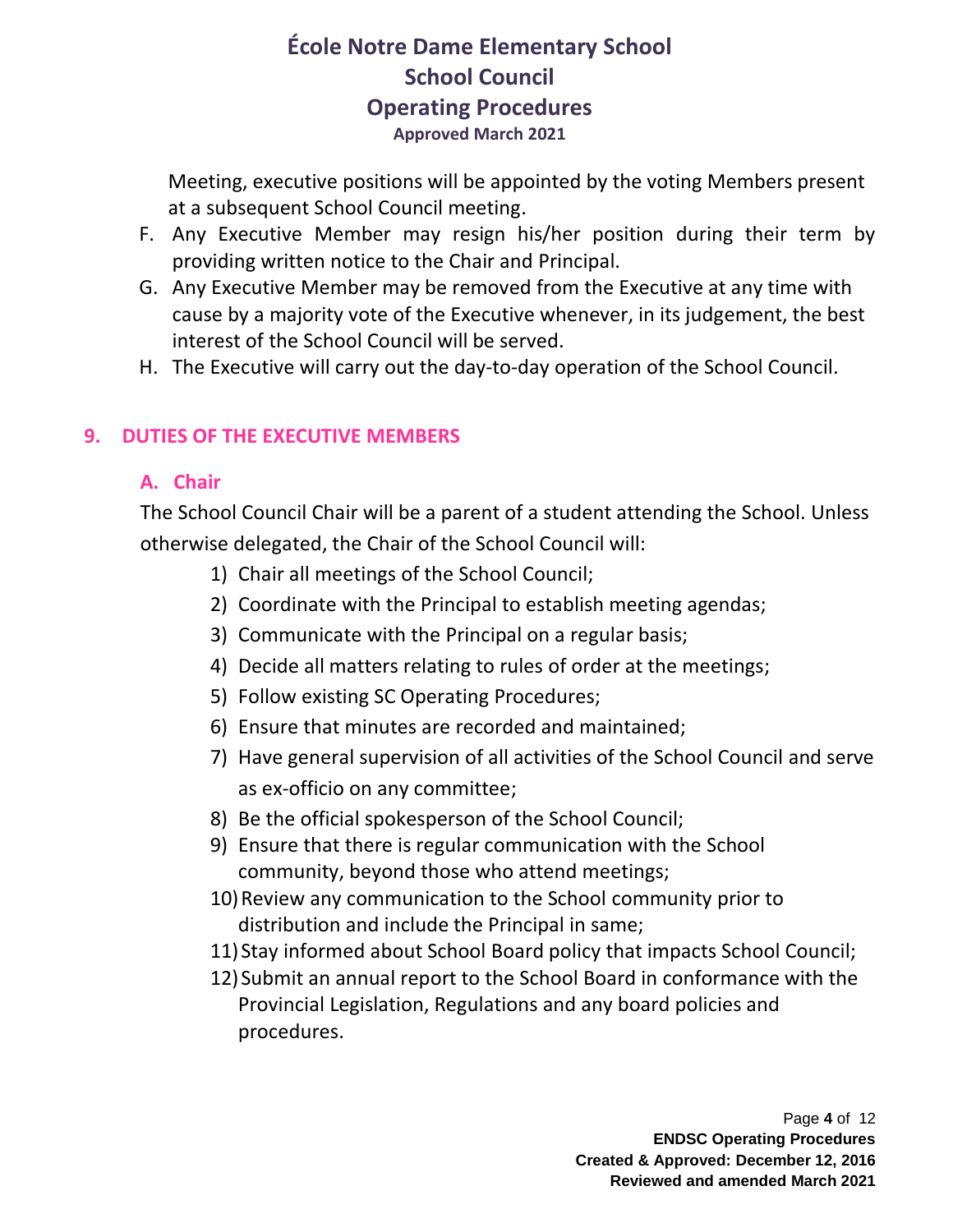Meeting, executive positions will be appointed by the voting Members present at a subsequent School Council meeting.

- F. Any Executive Member may resign his/her position during their term by providing written notice to the Chair and Principal.
- G. Any Executive Member may be removed from the Executive at any time with cause by a majority vote of the Executive whenever, in its judgement, the best interest of the School Council will be served.
- H. The Executive will carry out the day-to-day operation of the School Council.

### **9. DUTIES OF THE EXECUTIVE MEMBERS**

#### **A. Chair**

The School Council Chair will be a parent of a student attending the School. Unless otherwise delegated, the Chair of the School Council will:

- 1) Chair all meetings of the School Council;
- 2) Coordinate with the Principal to establish meeting agendas;
- 3) Communicate with the Principal on a regular basis;
- 4) Decide all matters relating to rules of order at the meetings;
- 5) Follow existing SC Operating Procedures;
- 6) Ensure that minutes are recorded and maintained;
- 7) Have general supervision of all activities of the School Council and serve as ex-officio on any committee;
- 8) Be the official spokesperson of the School Council;
- 9) Ensure that there is regular communication with the School community, beyond those who attend meetings;
- 10)Review any communication to the School community prior to distribution and include the Principal in same;
- 11)Stay informed about School Board policy that impacts School Council;
- 12)Submit an annual report to the School Board in conformance with the Provincial Legislation, Regulations and any board policies and procedures.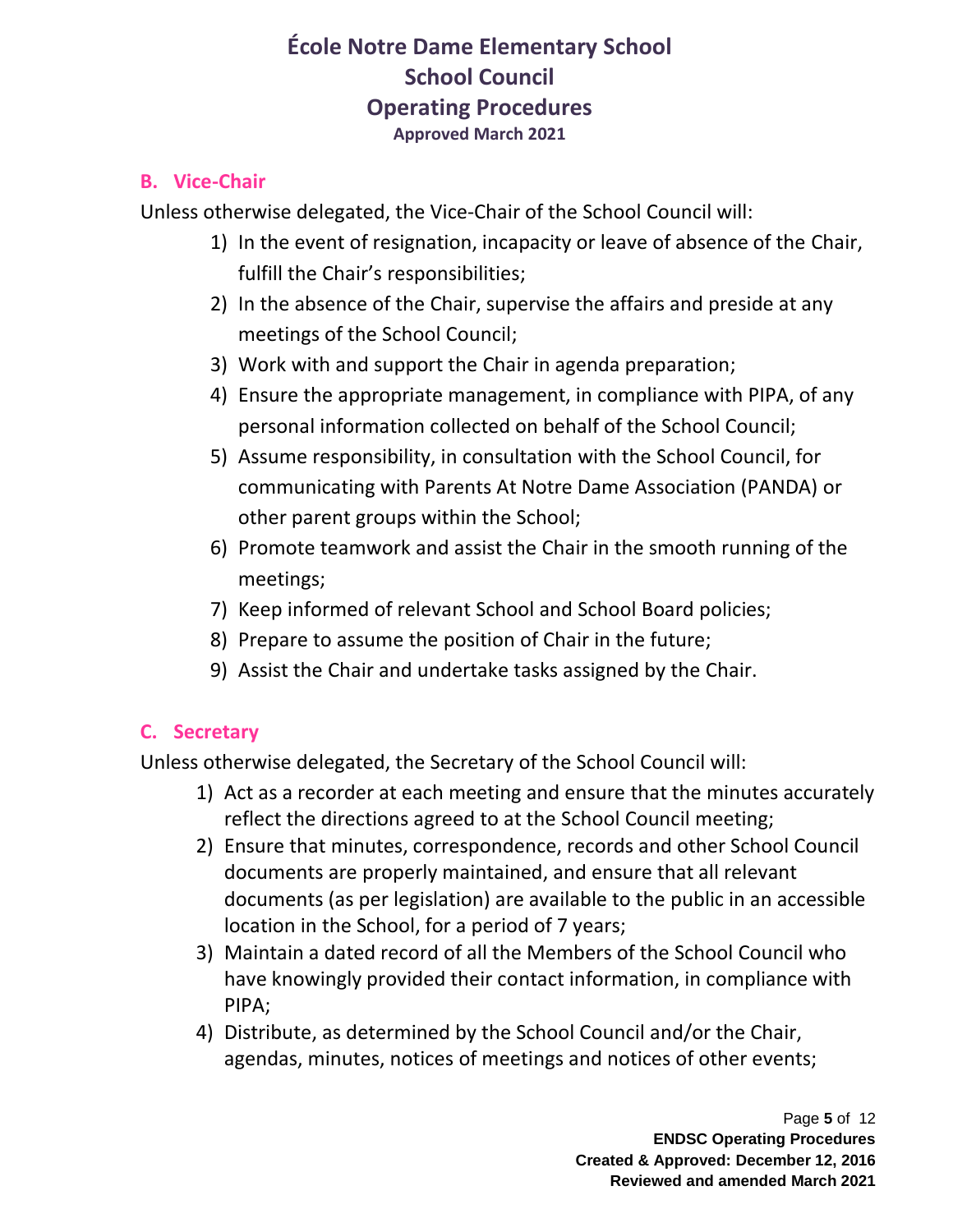#### **B. Vice-Chair**

Unless otherwise delegated, the Vice-Chair of the School Council will:

- 1) In the event of resignation, incapacity or leave of absence of the Chair, fulfill the Chair's responsibilities;
- 2) In the absence of the Chair, supervise the affairs and preside at any meetings of the School Council;
- 3) Work with and support the Chair in agenda preparation;
- 4) Ensure the appropriate management, in compliance with PIPA, of any personal information collected on behalf of the School Council;
- 5) Assume responsibility, in consultation with the School Council, for communicating with Parents At Notre Dame Association (PANDA) or other parent groups within the School;
- 6) Promote teamwork and assist the Chair in the smooth running of the meetings;
- 7) Keep informed of relevant School and School Board policies;
- 8) Prepare to assume the position of Chair in the future;
- 9) Assist the Chair and undertake tasks assigned by the Chair.

## **C. Secretary**

Unless otherwise delegated, the Secretary of the School Council will:

- 1) Act as a recorder at each meeting and ensure that the minutes accurately reflect the directions agreed to at the School Council meeting;
- 2) Ensure that minutes, correspondence, records and other School Council documents are properly maintained, and ensure that all relevant documents (as per legislation) are available to the public in an accessible location in the School, for a period of 7 years;
- 3) Maintain a dated record of all the Members of the School Council who have knowingly provided their contact information, in compliance with PIPA;
- 4) Distribute, as determined by the School Council and/or the Chair, agendas, minutes, notices of meetings and notices of other events;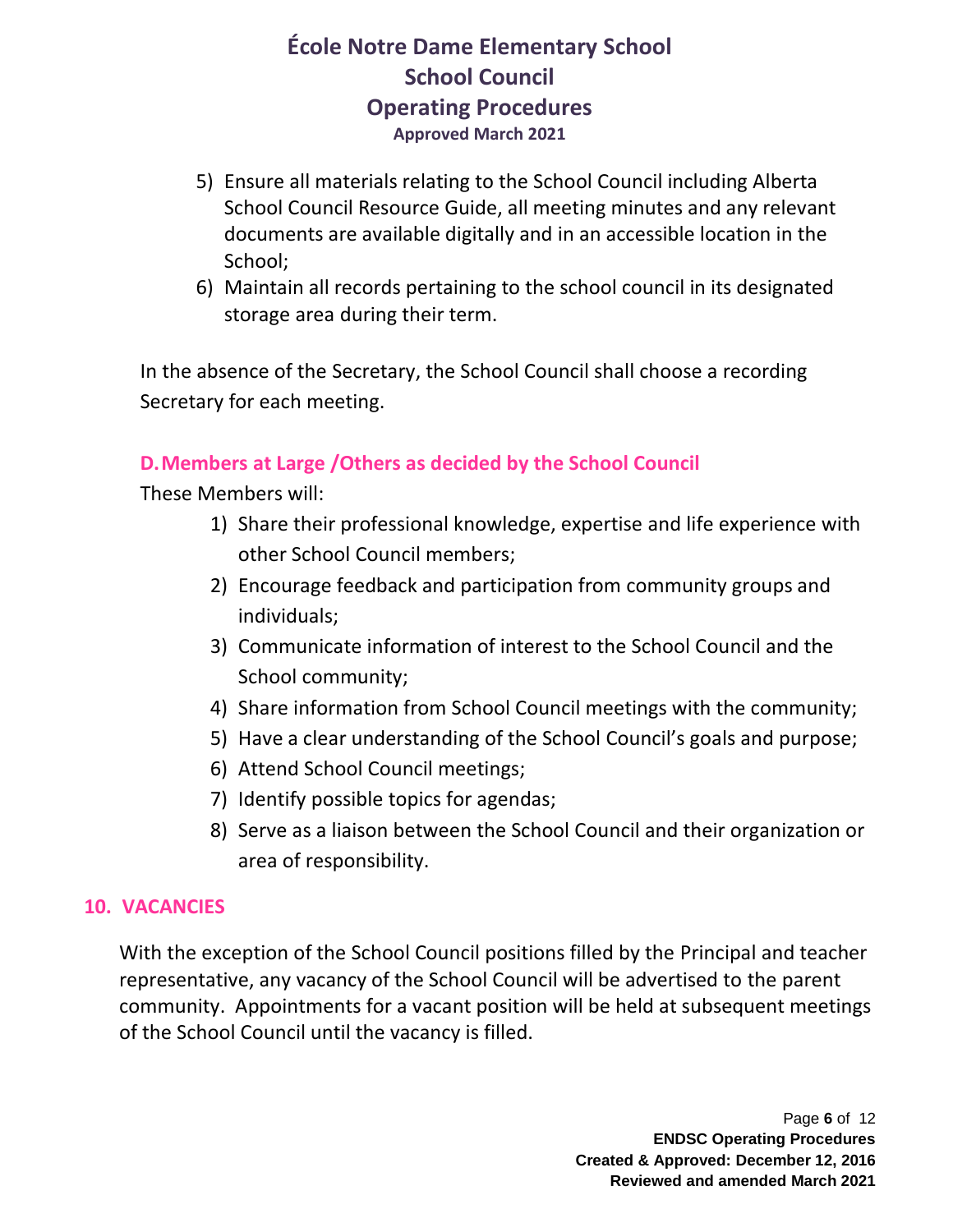- 5) Ensure all materials relating to the School Council including Alberta School Council Resource Guide, all meeting minutes and any relevant documents are available digitally and in an accessible location in the School;
- 6) Maintain all records pertaining to the school council in its designated storage area during their term.

In the absence of the Secretary, the School Council shall choose a recording Secretary for each meeting.

### **D.Members at Large /Others as decided by the School Council**

These Members will:

- 1) Share their professional knowledge, expertise and life experience with other School Council members;
- 2) Encourage feedback and participation from community groups and individuals;
- 3) Communicate information of interest to the School Council and the School community;
- 4) Share information from School Council meetings with the community;
- 5) Have a clear understanding of the School Council's goals and purpose;
- 6) Attend School Council meetings;
- 7) Identify possible topics for agendas;
- 8) Serve as a liaison between the School Council and their organization or area of responsibility.

#### **10. VACANCIES**

With the exception of the School Council positions filled by the Principal and teacher representative, any vacancy of the School Council will be advertised to the parent community. Appointments for a vacant position will be held at subsequent meetings of the School Council until the vacancy is filled.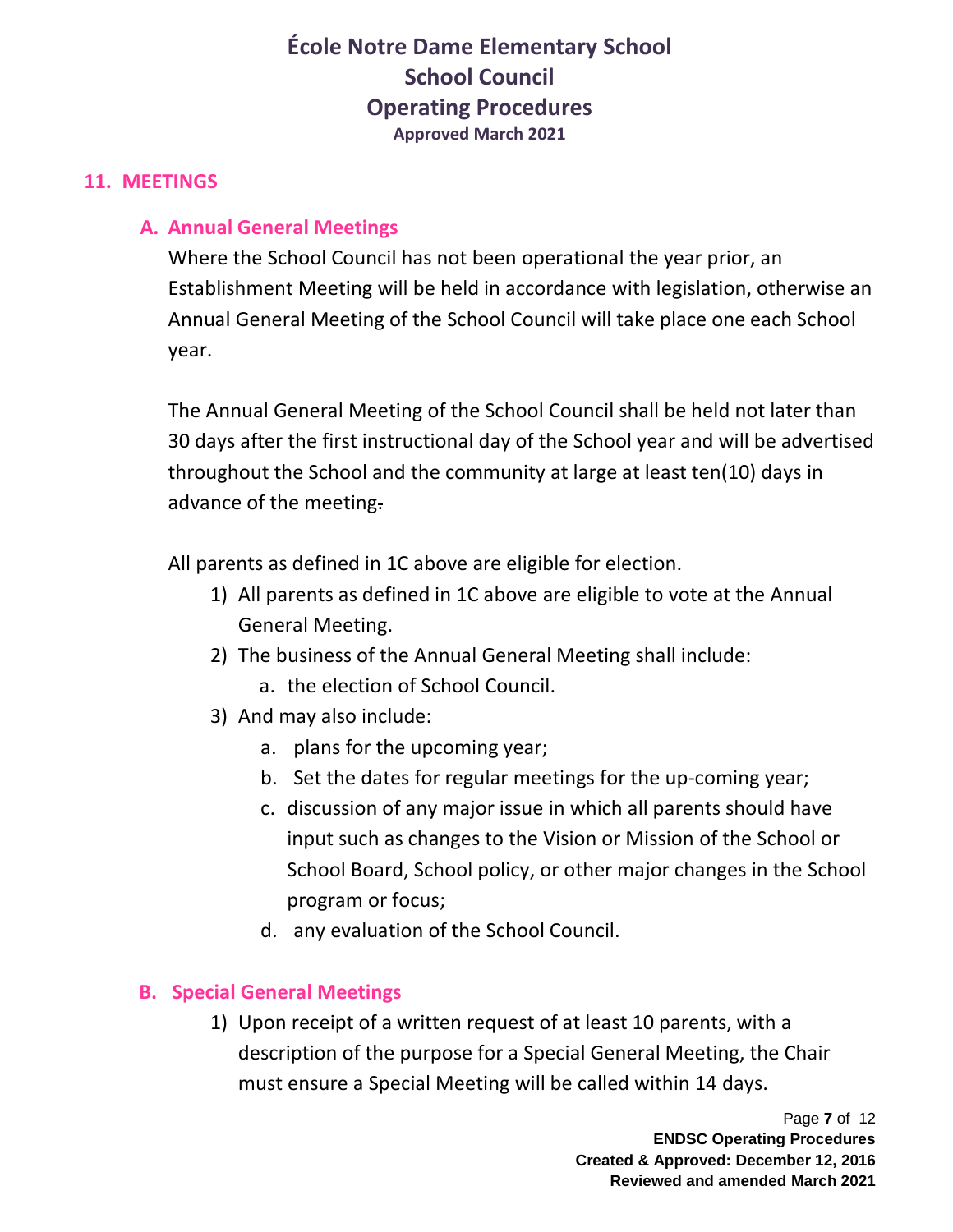#### **11. MEETINGS**

### **A. Annual General Meetings**

Where the School Council has not been operational the year prior, an Establishment Meeting will be held in accordance with legislation, otherwise an Annual General Meeting of the School Council will take place one each School year.

The Annual General Meeting of the School Council shall be held not later than 30 days after the first instructional day of the School year and will be advertised throughout the School and the community at large at least ten(10) days in advance of the meeting.

All parents as defined in 1C above are eligible for election.

- 1) All parents as defined in 1C above are eligible to vote at the Annual General Meeting.
- 2) The business of the Annual General Meeting shall include:
	- a. the election of School Council.
- 3) And may also include:
	- a. plans for the upcoming year;
	- b. Set the dates for regular meetings for the up-coming year;
	- c. discussion of any major issue in which all parents should have input such as changes to the Vision or Mission of the School or School Board, School policy, or other major changes in the School program or focus;
	- d. any evaluation of the School Council.

### **B. Special General Meetings**

1) Upon receipt of a written request of at least 10 parents, with a description of the purpose for a Special General Meeting, the Chair must ensure a Special Meeting will be called within 14 days.

> Page **7** of 12 **ENDSC Operating Procedures Created & Approved: December 12, 2016 Reviewed and amended March 2021**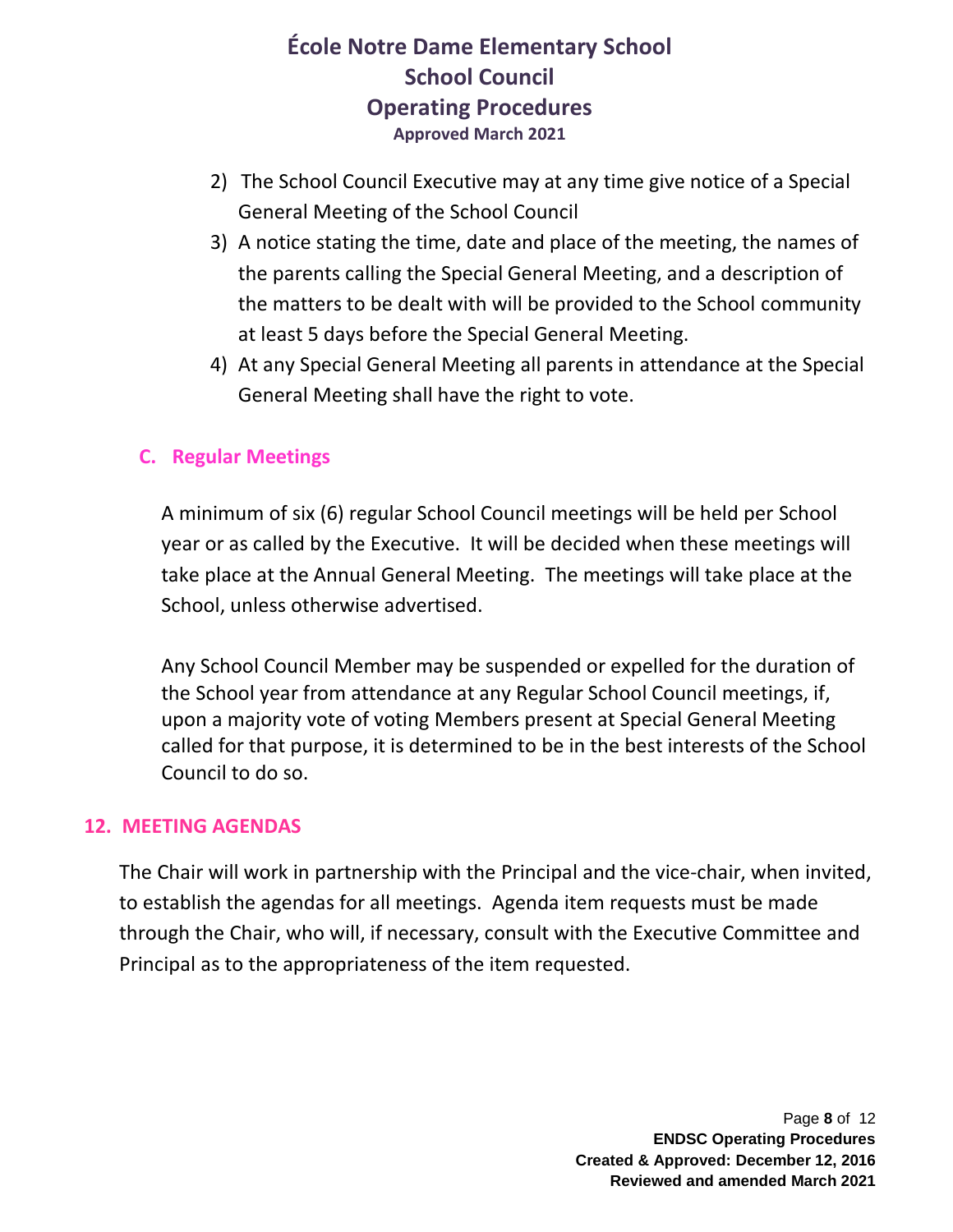- 2) The School Council Executive may at any time give notice of a Special General Meeting of the School Council
- 3) A notice stating the time, date and place of the meeting, the names of the parents calling the Special General Meeting, and a description of the matters to be dealt with will be provided to the School community at least 5 days before the Special General Meeting.
- 4) At any Special General Meeting all parents in attendance at the Special General Meeting shall have the right to vote.

#### **C. Regular Meetings**

A minimum of six (6) regular School Council meetings will be held per School year or as called by the Executive. It will be decided when these meetings will take place at the Annual General Meeting. The meetings will take place at the School, unless otherwise advertised.

Any School Council Member may be suspended or expelled for the duration of the School year from attendance at any Regular School Council meetings, if, upon a majority vote of voting Members present at Special General Meeting called for that purpose, it is determined to be in the best interests of the School Council to do so.

#### **12. MEETING AGENDAS**

The Chair will work in partnership with the Principal and the vice-chair, when invited, to establish the agendas for all meetings. Agenda item requests must be made through the Chair, who will, if necessary, consult with the Executive Committee and Principal as to the appropriateness of the item requested.

> Page **8** of 12 **ENDSC Operating Procedures Created & Approved: December 12, 2016 Reviewed and amended March 2021**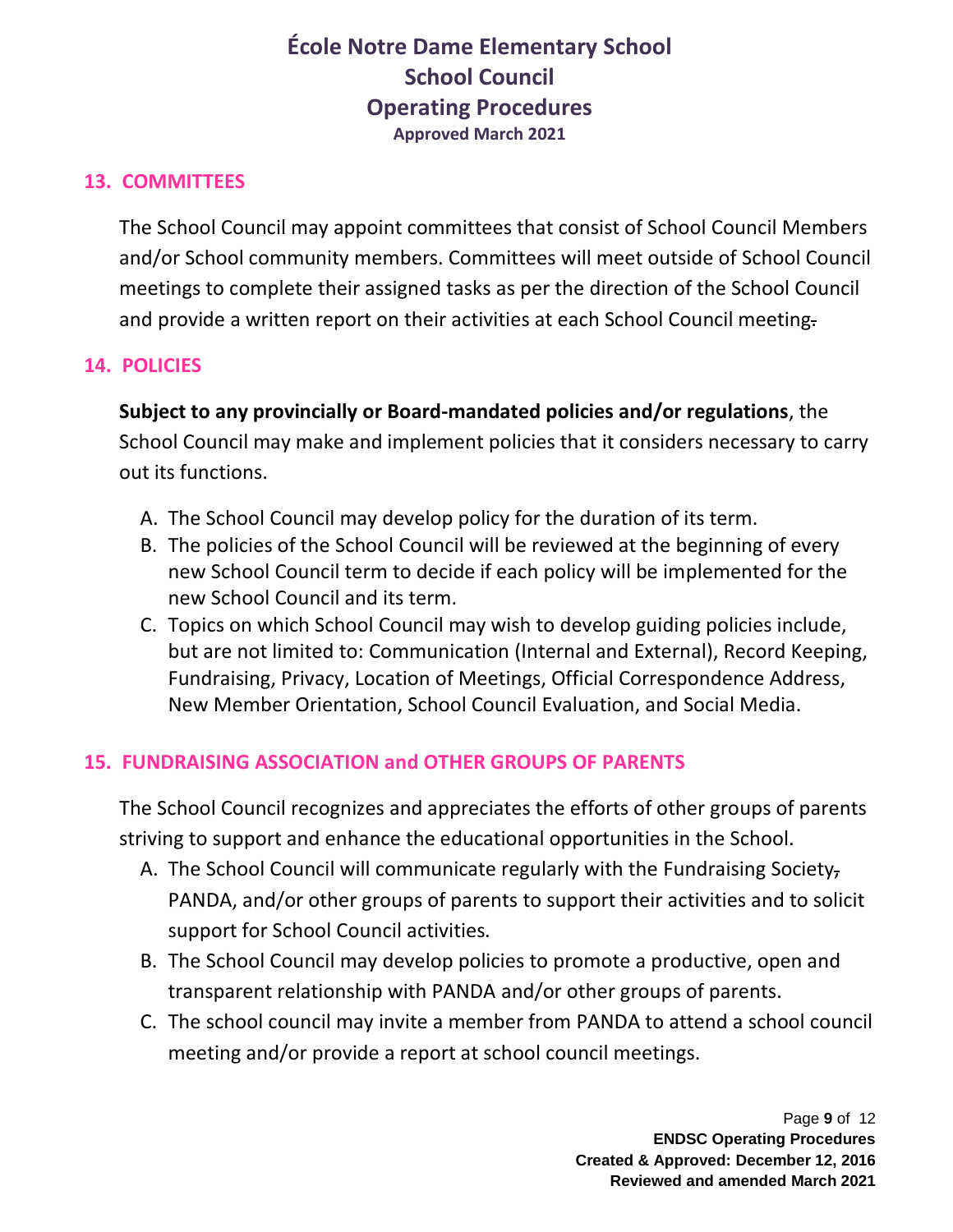### **13. COMMITTEES**

The School Council may appoint committees that consist of School Council Members and/or School community members. Committees will meet outside of School Council meetings to complete their assigned tasks as per the direction of the School Council and provide a written report on their activities at each School Council meeting.

### **14. POLICIES**

**Subject to any provincially or Board-mandated policies and/or regulations**, the School Council may make and implement policies that it considers necessary to carry out its functions.

- A. The School Council may develop policy for the duration of its term.
- B. The policies of the School Council will be reviewed at the beginning of every new School Council term to decide if each policy will be implemented for the new School Council and its term.
- C. Topics on which School Council may wish to develop guiding policies include, but are not limited to: Communication (Internal and External), Record Keeping, Fundraising, Privacy, Location of Meetings, Official Correspondence Address, New Member Orientation, School Council Evaluation, and Social Media.

### **15. FUNDRAISING ASSOCIATION and OTHER GROUPS OF PARENTS**

The School Council recognizes and appreciates the efforts of other groups of parents striving to support and enhance the educational opportunities in the School.

- A. The School Council will communicate regularly with the Fundraising Society, PANDA, and/or other groups of parents to support their activities and to solicit support for School Council activities.
- B. The School Council may develop policies to promote a productive, open and transparent relationship with PANDA and/or other groups of parents.
- C. The school council may invite a member from PANDA to attend a school council meeting and/or provide a report at school council meetings.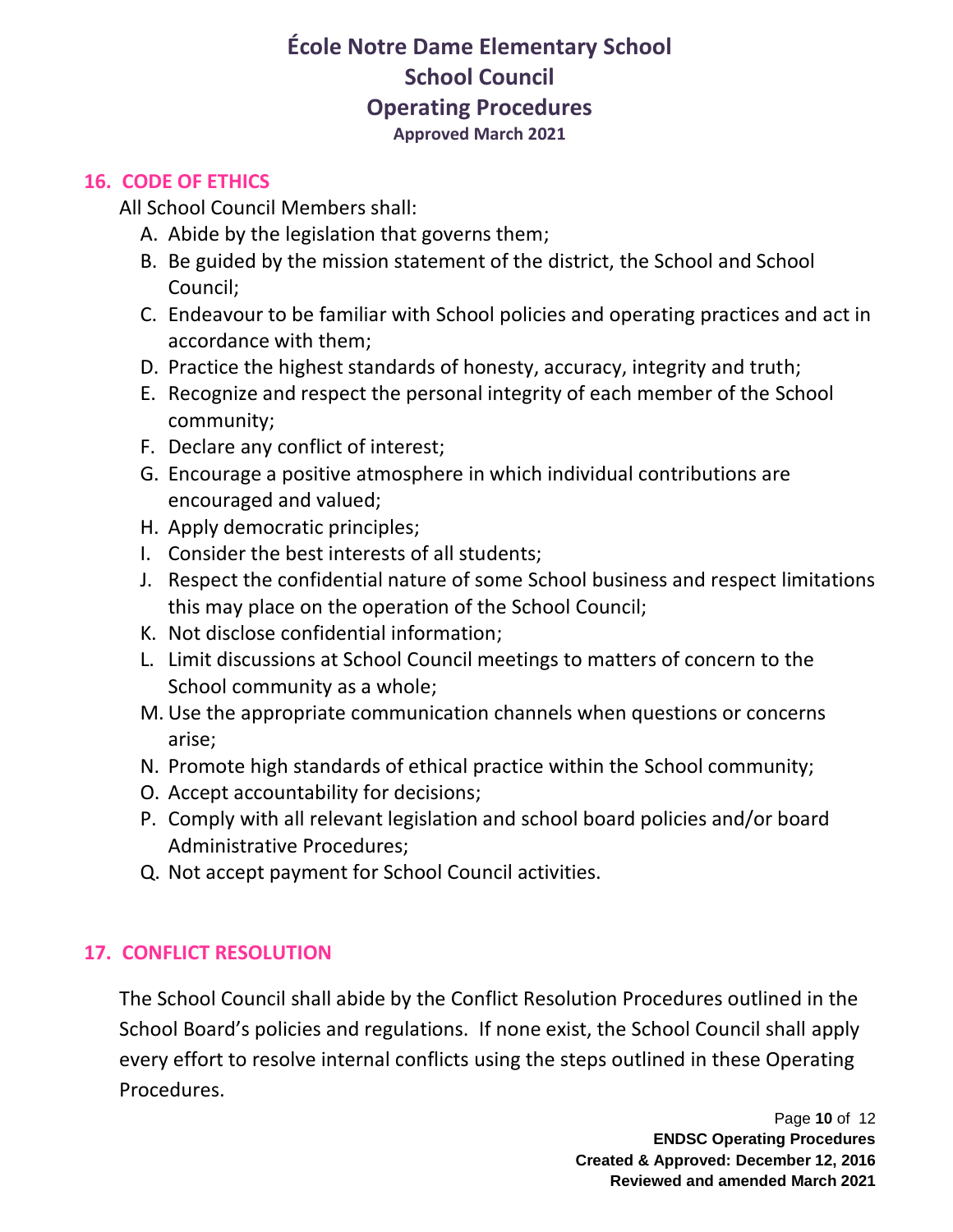#### **16. CODE OF ETHICS**

All School Council Members shall:

- A. Abide by the legislation that governs them;
- B. Be guided by the mission statement of the district, the School and School Council;
- C. Endeavour to be familiar with School policies and operating practices and act in accordance with them;
- D. Practice the highest standards of honesty, accuracy, integrity and truth;
- E. Recognize and respect the personal integrity of each member of the School community;
- F. Declare any conflict of interest;
- G. Encourage a positive atmosphere in which individual contributions are encouraged and valued;
- H. Apply democratic principles;
- I. Consider the best interests of all students;
- J. Respect the confidential nature of some School business and respect limitations this may place on the operation of the School Council;
- K. Not disclose confidential information;
- L. Limit discussions at School Council meetings to matters of concern to the School community as a whole;
- M. Use the appropriate communication channels when questions or concerns arise;
- N. Promote high standards of ethical practice within the School community;
- O. Accept accountability for decisions;
- P. Comply with all relevant legislation and school board policies and/or board Administrative Procedures;
- Q. Not accept payment for School Council activities.

## **17. CONFLICT RESOLUTION**

The School Council shall abide by the Conflict Resolution Procedures outlined in the School Board's policies and regulations. If none exist, the School Council shall apply every effort to resolve internal conflicts using the steps outlined in these Operating Procedures.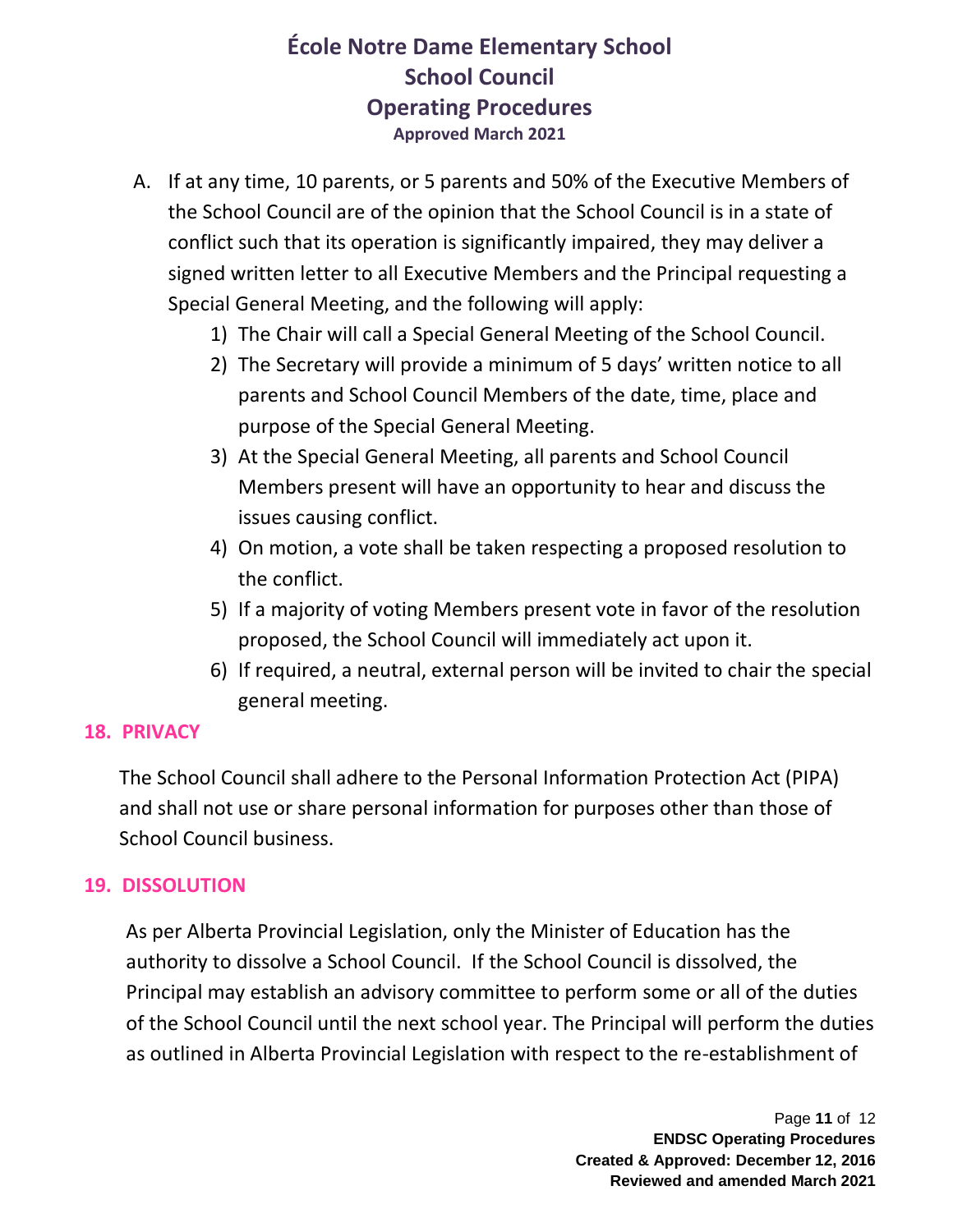- A. If at any time, 10 parents, or 5 parents and 50% of the Executive Members of the School Council are of the opinion that the School Council is in a state of conflict such that its operation is significantly impaired, they may deliver a signed written letter to all Executive Members and the Principal requesting a Special General Meeting, and the following will apply:
	- 1) The Chair will call a Special General Meeting of the School Council.
	- 2) The Secretary will provide a minimum of 5 days' written notice to all parents and School Council Members of the date, time, place and purpose of the Special General Meeting.
	- 3) At the Special General Meeting, all parents and School Council Members present will have an opportunity to hear and discuss the issues causing conflict.
	- 4) On motion, a vote shall be taken respecting a proposed resolution to the conflict.
	- 5) If a majority of voting Members present vote in favor of the resolution proposed, the School Council will immediately act upon it.
	- 6) If required, a neutral, external person will be invited to chair the special general meeting.

#### **18. PRIVACY**

The School Council shall adhere to the Personal Information Protection Act (PIPA) and shall not use or share personal information for purposes other than those of School Council business.

#### **19. DISSOLUTION**

As per Alberta Provincial Legislation, only the Minister of Education has the authority to dissolve a School Council. If the School Council is dissolved, the Principal may establish an advisory committee to perform some or all of the duties of the School Council until the next school year. The Principal will perform the duties as outlined in Alberta Provincial Legislation with respect to the re-establishment of